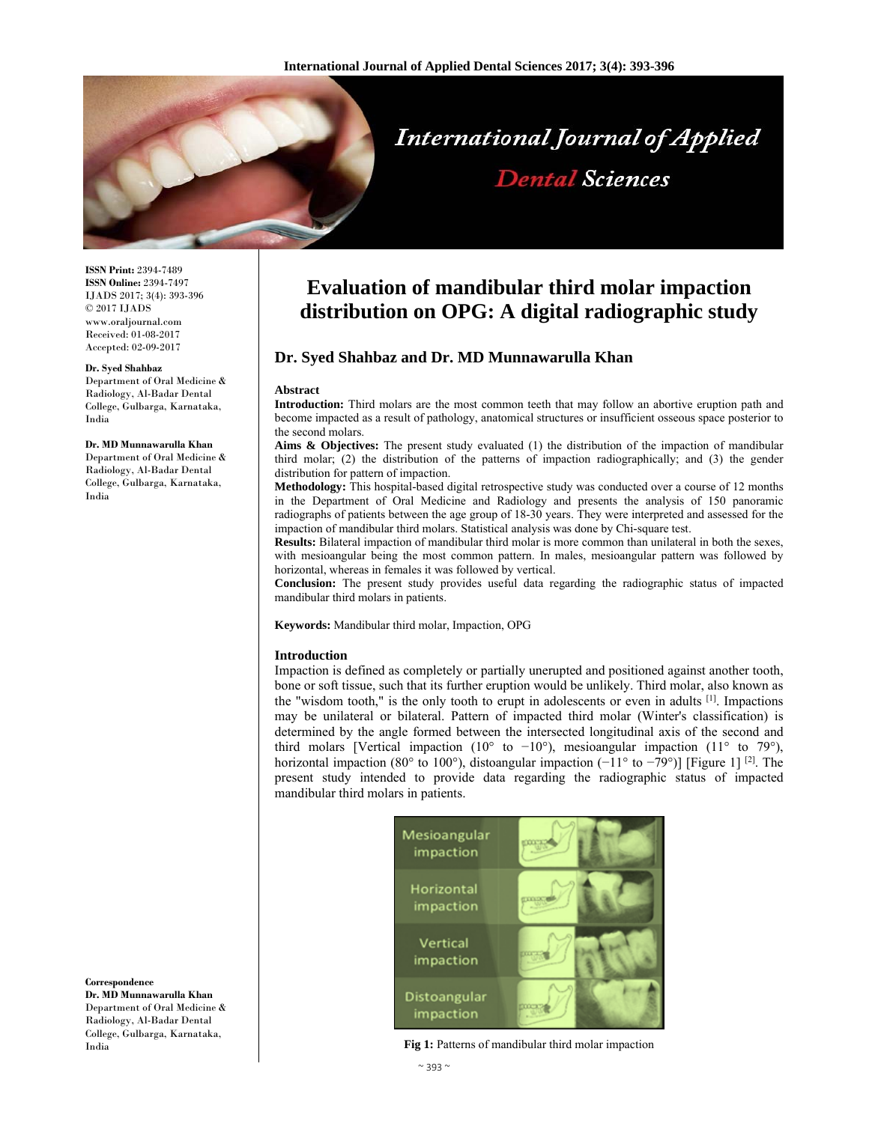

# **International Journal of Applied Dental Sciences**

**ISSN Print:** 2394-7489 **ISSN Online:** 2394-7497 IJADS 2017; 3(4): 393-396 © 2017 IJADS www.oraljournal.com Received: 01-08-2017 Accepted: 02-09-2017

#### **Dr. Syed Shahbaz**

Department of Oral Medicine & Radiology, Al-Badar Dental College, Gulbarga, Karnataka, India

#### **Dr. MD Munnawarulla Khan**

Department of Oral Medicine & Radiology, Al-Badar Dental College, Gulbarga, Karnataka, India

# **Correspondence Dr. MD Munnawarulla Khan** Department of Oral Medicine &

Radiology, Al-Badar Dental College, Gulbarga, Karnataka, India

# **Evaluation of mandibular third molar impaction distribution on OPG: A digital radiographic study**

## **Dr. Syed Shahbaz and Dr. MD Munnawarulla Khan**

#### **Abstract**

**Introduction:** Third molars are the most common teeth that may follow an abortive eruption path and become impacted as a result of pathology, anatomical structures or insufficient osseous space posterior to the second molars.

Aims & Objectives: The present study evaluated (1) the distribution of the impaction of mandibular third molar; (2) the distribution of the patterns of impaction radiographically; and (3) the gender distribution for pattern of impaction.

**Methodology:** This hospital-based digital retrospective study was conducted over a course of 12 months in the Department of Oral Medicine and Radiology and presents the analysis of 150 panoramic radiographs of patients between the age group of 18-30 years. They were interpreted and assessed for the impaction of mandibular third molars. Statistical analysis was done by Chi-square test.

**Results:** Bilateral impaction of mandibular third molar is more common than unilateral in both the sexes, with mesioangular being the most common pattern. In males, mesioangular pattern was followed by horizontal, whereas in females it was followed by vertical.

**Conclusion:** The present study provides useful data regarding the radiographic status of impacted mandibular third molars in patients.

**Keywords:** Mandibular third molar, Impaction, OPG

#### **Introduction**

Impaction is defined as completely or partially unerupted and positioned against another tooth, bone or soft tissue, such that its further eruption would be unlikely. Third molar, also known as the "wisdom tooth," is the only tooth to erupt in adolescents or even in adults  $[1]$ . Impactions may be unilateral or bilateral. Pattern of impacted third molar (Winter's classification) is determined by the angle formed between the intersected longitudinal axis of the second and third molars [Vertical impaction (10° to -10°), mesioangular impaction (11° to 79°), horizontal impaction (80° to 100°), distoangular impaction (−11° to −79°)] [Figure 1] <sup>[2]</sup>. The present study intended to provide data regarding the radiographic status of impacted mandibular third molars in patients.



**Fig 1:** Patterns of mandibular third molar impaction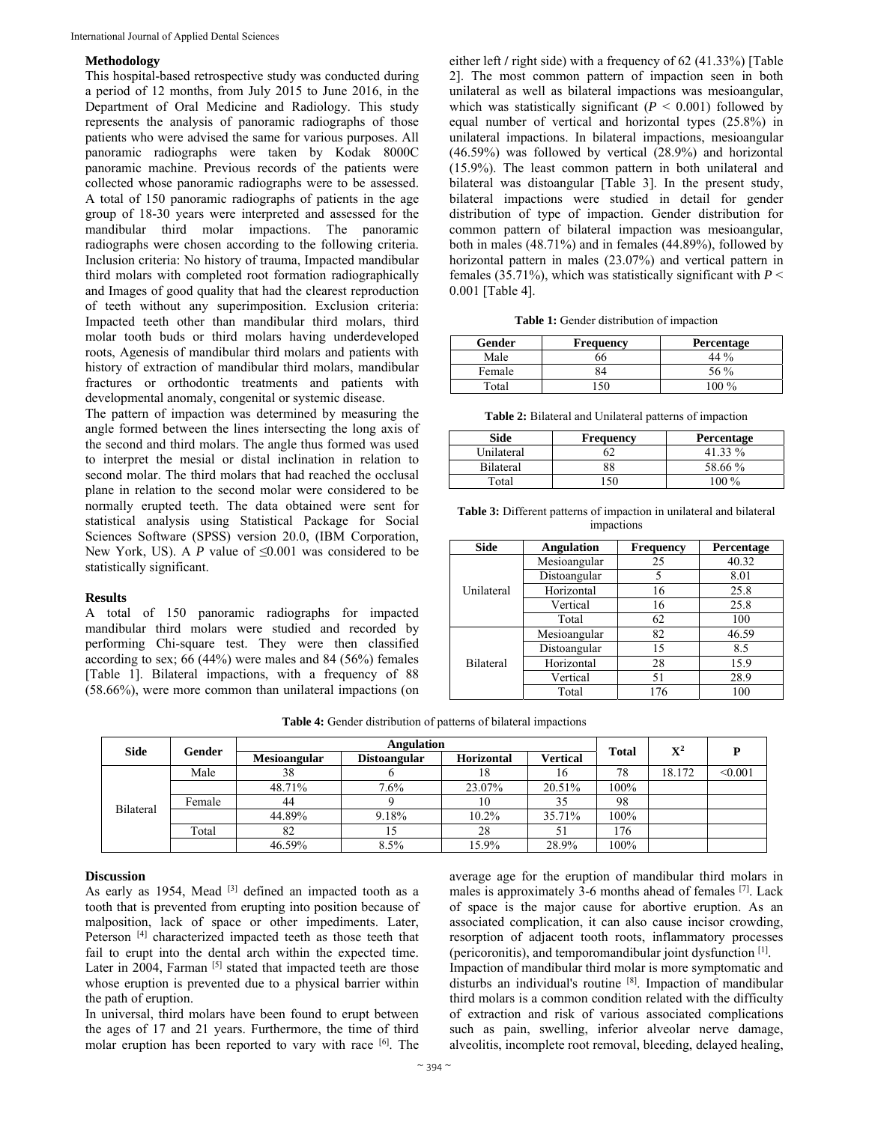### **Methodology**

This hospital-based retrospective study was conducted during a period of 12 months, from July 2015 to June 2016, in the Department of Oral Medicine and Radiology. This study represents the analysis of panoramic radiographs of those patients who were advised the same for various purposes. All panoramic radiographs were taken by Kodak 8000C panoramic machine. Previous records of the patients were collected whose panoramic radiographs were to be assessed. A total of 150 panoramic radiographs of patients in the age group of 18-30 years were interpreted and assessed for the mandibular third molar impactions. The panoramic radiographs were chosen according to the following criteria. Inclusion criteria: No history of trauma, Impacted mandibular third molars with completed root formation radiographically and Images of good quality that had the clearest reproduction of teeth without any superimposition. Exclusion criteria: Impacted teeth other than mandibular third molars, third molar tooth buds or third molars having underdeveloped roots, Agenesis of mandibular third molars and patients with history of extraction of mandibular third molars, mandibular fractures or orthodontic treatments and patients with developmental anomaly, congenital or systemic disease.

The pattern of impaction was determined by measuring the angle formed between the lines intersecting the long axis of the second and third molars. The angle thus formed was used to interpret the mesial or distal inclination in relation to second molar. The third molars that had reached the occlusal plane in relation to the second molar were considered to be normally erupted teeth. The data obtained were sent for statistical analysis using Statistical Package for Social Sciences Software (SPSS) version 20.0, (IBM Corporation, New York, US). A *P* value of  $\leq 0.001$  was considered to be statistically significant.

#### **Results**

A total of 150 panoramic radiographs for impacted mandibular third molars were studied and recorded by performing Chi-square test. They were then classified according to sex; 66 (44%) were males and 84 (56%) females [Table 1]. Bilateral impactions, with a frequency of 88 (58.66%), were more common than unilateral impactions (on either left **/** right side) with a frequency of 62 (41.33%) [Table 2]. The most common pattern of impaction seen in both unilateral as well as bilateral impactions was mesioangular, which was statistically significant (*P* < 0.001) followed by equal number of vertical and horizontal types (25.8%) in unilateral impactions. In bilateral impactions, mesioangular (46.59%) was followed by vertical (28.9%) and horizontal (15.9%). The least common pattern in both unilateral and bilateral was distoangular [Table 3]. In the present study, bilateral impactions were studied in detail for gender distribution of type of impaction. Gender distribution for common pattern of bilateral impaction was mesioangular, both in males (48.71%) and in females (44.89%), followed by horizontal pattern in males (23.07%) and vertical pattern in females (35.71%), which was statistically significant with  $P \leq$ 0.001 [Table 4].

|  |  |  | <b>Table 1:</b> Gender distribution of impaction |
|--|--|--|--------------------------------------------------|
|--|--|--|--------------------------------------------------|

| Gender | Frequency | <b>Percentage</b> |
|--------|-----------|-------------------|
| Male   | იი        | 44 $\%$           |
| Female | 84        | 56 %              |
| Total  | :50       | 100 $\%$          |

**Table 2:** Bilateral and Unilateral patterns of impaction

| Side       | Frequency | Percentage |
|------------|-----------|------------|
| Unilateral | 52        | 41.33 %    |
| Bilateral  | 88        | 58.66 %    |
| Total      |           | 100 %      |

**Table 3:** Different patterns of impaction in unilateral and bilateral impactions

| <b>Side</b>      | <b>Angulation</b> | <b>Frequency</b> | Percentage |  |
|------------------|-------------------|------------------|------------|--|
|                  | Mesioangular      | 25               | 40.32      |  |
| Unilateral       | Distoangular      | 5                | 8.01       |  |
|                  | Horizontal        | 16               | 25.8       |  |
|                  | Vertical          | 16               | 25.8       |  |
|                  | Total             | 62               | 100        |  |
| <b>Bilateral</b> | Mesioangular      | 82               | 46.59      |  |
|                  | Distoangular      | 15               | 8.5        |  |
|                  | Horizontal        | 28               | 15.9       |  |
|                  | Vertical          | 51               | 28.9       |  |
|                  | Total             | 176              | 100        |  |

**Table 4:** Gender distribution of patterns of bilateral impactions

| Side             | Gender | <b>Angulation</b>   |                     |                   |                 | $\mathbf{X}^2$ |        |         |
|------------------|--------|---------------------|---------------------|-------------------|-----------------|----------------|--------|---------|
|                  |        | <b>Mesioangular</b> | <b>Distoangular</b> | <b>Horizontal</b> | <b>Vertical</b> | <b>Total</b>   |        |         |
| <b>Bilateral</b> | Male   | 38                  |                     | 18                | 16              | 78             | 18.172 | < 0.001 |
|                  |        | 48.71%              | 7.6%                | 23.07%            | 20.51%          | 100%           |        |         |
|                  | Female | 44                  |                     | 10                | 35              | 98             |        |         |
|                  |        | 44.89%              | 9.18%               | $10.2\%$          | 35.71%          | 100%           |        |         |
|                  | Total  | 82                  | 15                  | 28                | 51              | 176            |        |         |
|                  |        | 46.59%              | 8.5%                | 15.9%             | 28.9%           | 100%           |        |         |

#### **Discussion**

As early as 1954, Mead  $[3]$  defined an impacted tooth as a tooth that is prevented from erupting into position because of malposition, lack of space or other impediments. Later, Peterson<sup>[4]</sup> characterized impacted teeth as those teeth that fail to erupt into the dental arch within the expected time. Later in  $2004$ , Farman [5] stated that impacted teeth are those whose eruption is prevented due to a physical barrier within the path of eruption.

In universal, third molars have been found to erupt between the ages of 17 and 21 years. Furthermore, the time of third molar eruption has been reported to vary with race [6]. The

average age for the eruption of mandibular third molars in males is approximately 3-6 months ahead of females [7]. Lack of space is the major cause for abortive eruption. As an associated complication, it can also cause incisor crowding, resorption of adjacent tooth roots, inflammatory processes (pericoronitis), and temporomandibular joint dysfunction [1]. Impaction of mandibular third molar is more symptomatic and disturbs an individual's routine [8]. Impaction of mandibular third molars is a common condition related with the difficulty of extraction and risk of various associated complications such as pain, swelling, inferior alveolar nerve damage, alveolitis, incomplete root removal, bleeding, delayed healing,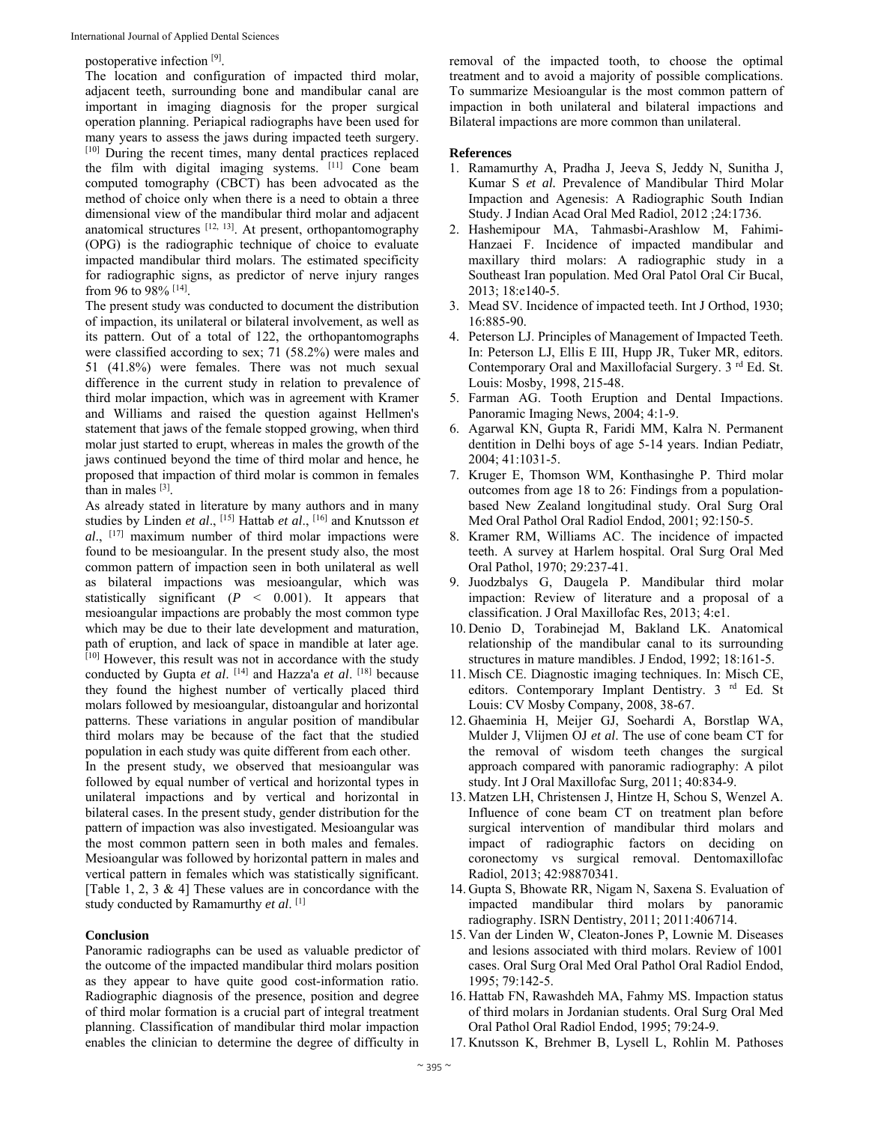#### postoperative infection [9].

The location and configuration of impacted third molar, adjacent teeth, surrounding bone and mandibular canal are important in imaging diagnosis for the proper surgical operation planning. Periapical radiographs have been used for many years to assess the jaws during impacted teeth surgery. [10] During the recent times, many dental practices replaced the film with digital imaging systems. [11] Cone beam computed tomography (CBCT) has been advocated as the method of choice only when there is a need to obtain a three dimensional view of the mandibular third molar and adjacent anatomical structures  $[12, 13]$ . At present, orthopantomography (OPG) is the radiographic technique of choice to evaluate impacted mandibular third molars. The estimated specificity for radiographic signs, as predictor of nerve injury ranges from 96 to 98% [14].

The present study was conducted to document the distribution of impaction, its unilateral or bilateral involvement, as well as its pattern. Out of a total of 122, the orthopantomographs were classified according to sex; 71 (58.2%) were males and 51 (41.8%) were females. There was not much sexual difference in the current study in relation to prevalence of third molar impaction, which was in agreement with Kramer and Williams and raised the question against Hellmen's statement that jaws of the female stopped growing, when third molar just started to erupt, whereas in males the growth of the jaws continued beyond the time of third molar and hence, he proposed that impaction of third molar is common in females than in males [3].

As already stated in literature by many authors and in many studies by Linden *et al*., [15] Hattab *et al*., [16] and Knutsson *et al*., [17] maximum number of third molar impactions were found to be mesioangular. In the present study also, the most common pattern of impaction seen in both unilateral as well as bilateral impactions was mesioangular, which was statistically significant (*P* < 0.001). It appears that mesioangular impactions are probably the most common type which may be due to their late development and maturation, path of eruption, and lack of space in mandible at later age. [10] However, this result was not in accordance with the study conducted by Gupta *et al*. [14] and Hazza'a *et al*. [18] because they found the highest number of vertically placed third molars followed by mesioangular, distoangular and horizontal patterns. These variations in angular position of mandibular third molars may be because of the fact that the studied population in each study was quite different from each other.

In the present study, we observed that mesioangular was followed by equal number of vertical and horizontal types in unilateral impactions and by vertical and horizontal in bilateral cases. In the present study, gender distribution for the pattern of impaction was also investigated. Mesioangular was the most common pattern seen in both males and females. Mesioangular was followed by horizontal pattern in males and vertical pattern in females which was statistically significant. [Table 1, 2, 3  $\&$  4] These values are in concordance with the study conducted by Ramamurthy *et al*. [1]

#### **Conclusion**

Panoramic radiographs can be used as valuable predictor of the outcome of the impacted mandibular third molars position as they appear to have quite good cost-information ratio. Radiographic diagnosis of the presence, position and degree of third molar formation is a crucial part of integral treatment planning. Classification of mandibular third molar impaction enables the clinician to determine the degree of difficulty in

removal of the impacted tooth, to choose the optimal treatment and to avoid a majority of possible complications. To summarize Mesioangular is the most common pattern of impaction in both unilateral and bilateral impactions and Bilateral impactions are more common than unilateral.

#### **References**

- 1. Ramamurthy A, Pradha J, Jeeva S, Jeddy N, Sunitha J, Kumar S *et al.* Prevalence of Mandibular Third Molar Impaction and Agenesis: A Radiographic South Indian Study. J Indian Acad Oral Med Radiol, 2012 ;24:1736.
- 2. Hashemipour MA, Tahmasbi-Arashlow M, Fahimi-Hanzaei F. Incidence of impacted mandibular and maxillary third molars: A radiographic study in a Southeast Iran population. Med Oral Patol Oral Cir Bucal, 2013; 18:e140-5.
- 3. Mead SV. Incidence of impacted teeth. Int J Orthod, 1930; 16:885-90.
- 4. Peterson LJ. Principles of Management of Impacted Teeth. In: Peterson LJ, Ellis E III, Hupp JR, Tuker MR, editors. Contemporary Oral and Maxillofacial Surgery. 3<sup>rd</sup> Ed. St. Louis: Mosby, 1998, 215-48.
- 5. Farman AG. Tooth Eruption and Dental Impactions. Panoramic Imaging News, 2004; 4:1-9.
- 6. Agarwal KN, Gupta R, Faridi MM, Kalra N. Permanent dentition in Delhi boys of age 5-14 years. Indian Pediatr, 2004; 41:1031-5.
- 7. Kruger E, Thomson WM, Konthasinghe P. Third molar outcomes from age 18 to 26: Findings from a populationbased New Zealand longitudinal study. Oral Surg Oral Med Oral Pathol Oral Radiol Endod, 2001; 92:150-5.
- 8. Kramer RM, Williams AC. The incidence of impacted teeth. A survey at Harlem hospital. Oral Surg Oral Med Oral Pathol, 1970; 29:237-41.
- 9. Juodzbalys G, Daugela P. Mandibular third molar impaction: Review of literature and a proposal of a classification. J Oral Maxillofac Res, 2013; 4:e1.
- 10. Denio D, Torabinejad M, Bakland LK. Anatomical relationship of the mandibular canal to its surrounding structures in mature mandibles. J Endod, 1992; 18:161-5.
- 11. Misch CE. Diagnostic imaging techniques. In: Misch CE, editors. Contemporary Implant Dentistry. 3 <sup>rd</sup> Ed. St Louis: CV Mosby Company, 2008, 38-67.
- 12. Ghaeminia H, Meijer GJ, Soehardi A, Borstlap WA, Mulder J, Vlijmen OJ *et al*. The use of cone beam CT for the removal of wisdom teeth changes the surgical approach compared with panoramic radiography: A pilot study. Int J Oral Maxillofac Surg, 2011; 40:834-9.
- 13. Matzen LH, Christensen J, Hintze H, Schou S, Wenzel A. Influence of cone beam CT on treatment plan before surgical intervention of mandibular third molars and impact of radiographic factors on deciding on coronectomy vs surgical removal. Dentomaxillofac Radiol, 2013; 42:98870341.
- 14. Gupta S, Bhowate RR, Nigam N, Saxena S. Evaluation of impacted mandibular third molars by panoramic radiography. ISRN Dentistry, 2011; 2011:406714.
- 15. Van der Linden W, Cleaton-Jones P, Lownie M. Diseases and lesions associated with third molars. Review of 1001 cases. Oral Surg Oral Med Oral Pathol Oral Radiol Endod, 1995; 79:142-5.
- 16. Hattab FN, Rawashdeh MA, Fahmy MS. Impaction status of third molars in Jordanian students. Oral Surg Oral Med Oral Pathol Oral Radiol Endod, 1995; 79:24-9.
- 17. Knutsson K, Brehmer B, Lysell L, Rohlin M. Pathoses